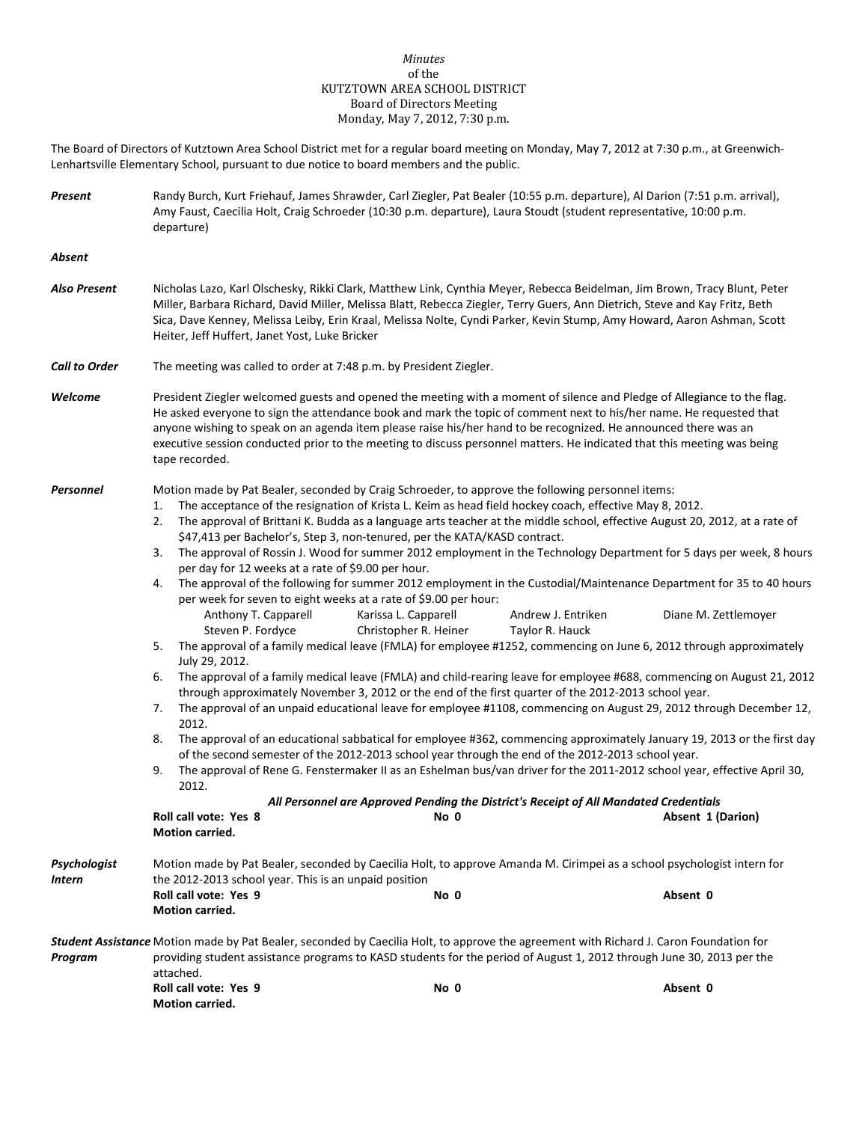## *Minutes* of the KUTZTOWN AREA SCHOOL DISTRICT Board of Directors Meeting Monday, May 7, 2012, 7:30 p.m.

The Board of Directors of Kutztown Area School District met for a regular board meeting on Monday, May 7, 2012 at 7:30 p.m., at Greenwich-Lenhartsville Elementary School, pursuant to due notice to board members and the public.

*Present* Randy Burch, Kurt Friehauf, James Shrawder, Carl Ziegler, Pat Bealer (10:55 p.m. departure), Al Darion (7:51 p.m. arrival), Amy Faust, Caecilia Holt, Craig Schroeder (10:30 p.m. departure), Laura Stoudt (student representative, 10:00 p.m. departure) *Absent Also Present* Nicholas Lazo, Karl Olschesky, Rikki Clark, Matthew Link, Cynthia Meyer, Rebecca Beidelman, Jim Brown, Tracy Blunt, Peter Miller, Barbara Richard, David Miller, Melissa Blatt, Rebecca Ziegler, Terry Guers, Ann Dietrich, Steve and Kay Fritz, Beth Sica, Dave Kenney, Melissa Leiby, Erin Kraal, Melissa Nolte, Cyndi Parker, Kevin Stump, Amy Howard, Aaron Ashman, Scott Heiter, Jeff Huffert, Janet Yost, Luke Bricker *Call to Order* The meeting was called to order at 7:48 p.m. by President Ziegler. *Welcome* President Ziegler welcomed guests and opened the meeting with a moment of silence and Pledge of Allegiance to the flag. He asked everyone to sign the attendance book and mark the topic of comment next to his/her name. He requested that anyone wishing to speak on an agenda item please raise his/her hand to be recognized. He announced there was an executive session conducted prior to the meeting to discuss personnel matters. He indicated that this meeting was being tape recorded. *Personnel* Motion made by Pat Bealer, seconded by Craig Schroeder, to approve the following personnel items: 1. The acceptance of the resignation of Krista L. Keim as head field hockey coach, effective May 8, 2012. 2. The approval of Brittani K. Budda as a language arts teacher at the middle school, effective August 20, 2012, at a rate of \$47,413 per Bachelor's, Step 3, non-tenured, per the KATA/KASD contract. 3. The approval of Rossin J. Wood for summer 2012 employment in the Technology Department for 5 days per week, 8 hours per day for 12 weeks at a rate of \$9.00 per hour. 4. The approval of the following for summer 2012 employment in the Custodial/Maintenance Department for 35 to 40 hours per week for seven to eight weeks at a rate of \$9.00 per hour: Anthony T. Capparell Karissa L. Capparell Andrew J. Entriken Diane M. Zettlemoyer Steven P. Fordyce **Christopher R. Heiner** Taylor R. Hauck 5. The approval of a family medical leave (FMLA) for employee #1252, commencing on June 6, 2012 through approximately July 29, 2012. 6. The approval of a family medical leave (FMLA) and child-rearing leave for employee #688, commencing on August 21, 2012 through approximately November 3, 2012 or the end of the first quarter of the 2012-2013 school year. 7. The approval of an unpaid educational leave for employee #1108, commencing on August 29, 2012 through December 12, 2012. 8. The approval of an educational sabbatical for employee #362, commencing approximately January 19, 2013 or the first day of the second semester of the 2012-2013 school year through the end of the 2012-2013 school year. 9. The approval of Rene G. Fenstermaker II as an Eshelman bus/van driver for the 2011-2012 school year, effective April 30, 2012. *All Personnel are Approved Pending the District's Receipt of All Mandated Credentials* **Roll call vote: Yes 8 No 0 Absent 1 (Darion) Motion carried.** *Psychologist* Motion made by Pat Bealer, seconded by Caecilia Holt, to approve Amanda M. Cirimpei as a school psychologist intern for *Intern* the 2012-2013 school year. This is an unpaid position **Roll call vote: Yes 9 No 0 Absent 0 Motion carried.** *Student Assistance* Motion made by Pat Bealer, seconded by Caecilia Holt, to approve the agreement with Richard J. Caron Foundation for *Program* providing student assistance programs to KASD students for the period of August 1, 2012 through June 30, 2013 per the attached. **Roll call vote: Yes 9 No 0 Absent 0**

**Motion carried.**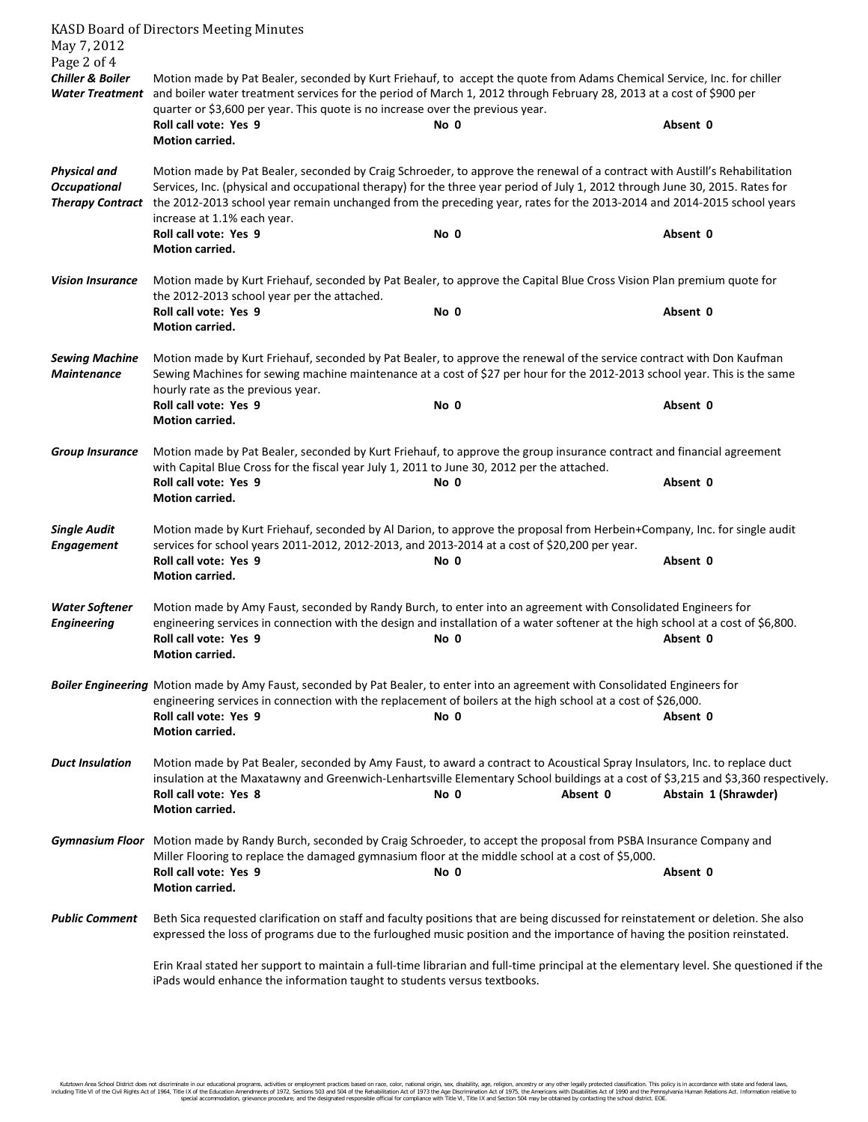| May 7, 2012<br>Page 2 of 4                                            | <b>KASD Board of Directors Meeting Minutes</b>                                                                                                                                                                                                                                                                                                                                                                       |      |          |                      |  |  |
|-----------------------------------------------------------------------|----------------------------------------------------------------------------------------------------------------------------------------------------------------------------------------------------------------------------------------------------------------------------------------------------------------------------------------------------------------------------------------------------------------------|------|----------|----------------------|--|--|
| <b>Chiller &amp; Boiler</b>                                           | Motion made by Pat Bealer, seconded by Kurt Friehauf, to accept the quote from Adams Chemical Service, Inc. for chiller<br>Water Treatment and boiler water treatment services for the period of March 1, 2012 through February 28, 2013 at a cost of \$900 per<br>quarter or \$3,600 per year. This quote is no increase over the previous year.                                                                    |      |          |                      |  |  |
|                                                                       | Roll call vote: Yes 9<br>Motion carried.                                                                                                                                                                                                                                                                                                                                                                             | No 0 |          | Absent 0             |  |  |
| <b>Physical and</b><br><b>Occupational</b><br><b>Therapy Contract</b> | Motion made by Pat Bealer, seconded by Craig Schroeder, to approve the renewal of a contract with Austill's Rehabilitation<br>Services, Inc. (physical and occupational therapy) for the three year period of July 1, 2012 through June 30, 2015. Rates for<br>the 2012-2013 school year remain unchanged from the preceding year, rates for the 2013-2014 and 2014-2015 school years<br>increase at 1.1% each year. |      |          |                      |  |  |
|                                                                       | Roll call vote: Yes 9<br>Motion carried.                                                                                                                                                                                                                                                                                                                                                                             | No 0 |          | Absent 0             |  |  |
| <b>Vision Insurance</b>                                               | Motion made by Kurt Friehauf, seconded by Pat Bealer, to approve the Capital Blue Cross Vision Plan premium quote for<br>the 2012-2013 school year per the attached.                                                                                                                                                                                                                                                 |      |          |                      |  |  |
|                                                                       | Roll call vote: Yes 9<br>Motion carried.                                                                                                                                                                                                                                                                                                                                                                             | No 0 |          | Absent 0             |  |  |
| <b>Sewing Machine</b><br><b>Maintenance</b>                           | Motion made by Kurt Friehauf, seconded by Pat Bealer, to approve the renewal of the service contract with Don Kaufman<br>Sewing Machines for sewing machine maintenance at a cost of \$27 per hour for the 2012-2013 school year. This is the same<br>hourly rate as the previous year.                                                                                                                              |      |          |                      |  |  |
|                                                                       | Roll call vote: Yes 9<br><b>Motion carried.</b>                                                                                                                                                                                                                                                                                                                                                                      | No 0 |          | Absent 0             |  |  |
| <b>Group Insurance</b>                                                | Motion made by Pat Bealer, seconded by Kurt Friehauf, to approve the group insurance contract and financial agreement<br>with Capital Blue Cross for the fiscal year July 1, 2011 to June 30, 2012 per the attached.<br>Roll call vote: Yes 9<br>Absent 0<br>No 0                                                                                                                                                    |      |          |                      |  |  |
|                                                                       | Motion carried.                                                                                                                                                                                                                                                                                                                                                                                                      |      |          |                      |  |  |
| <b>Single Audit</b><br><b>Engagement</b>                              | Motion made by Kurt Friehauf, seconded by Al Darion, to approve the proposal from Herbein+Company, Inc. for single audit<br>services for school years 2011-2012, 2012-2013, and 2013-2014 at a cost of \$20,200 per year.<br>Roll call vote: Yes 9                                                                                                                                                                   | No 0 |          | Absent 0             |  |  |
|                                                                       | <b>Motion carried.</b>                                                                                                                                                                                                                                                                                                                                                                                               |      |          |                      |  |  |
| <b>Water Softener</b><br><b>Engineering</b>                           | Motion made by Amy Faust, seconded by Randy Burch, to enter into an agreement with Consolidated Engineers for<br>engineering services in connection with the design and installation of a water softener at the high school at a cost of \$6,800.<br>Roll call vote: Yes 9<br><b>Motion carried.</b>                                                                                                                 | No 0 |          | Absent 0             |  |  |
|                                                                       | Boiler Engineering Motion made by Amy Faust, seconded by Pat Bealer, to enter into an agreement with Consolidated Engineers for<br>engineering services in connection with the replacement of boilers at the high school at a cost of \$26,000.<br>Roll call vote: Yes 9<br>Motion carried.                                                                                                                          | No 0 |          | Absent 0             |  |  |
| <b>Duct Insulation</b>                                                | Motion made by Pat Bealer, seconded by Amy Faust, to award a contract to Acoustical Spray Insulators, Inc. to replace duct<br>insulation at the Maxatawny and Greenwich-Lenhartsville Elementary School buildings at a cost of \$3,215 and \$3,360 respectively.<br>Roll call vote: Yes 8<br>Motion carried.                                                                                                         | No 0 | Absent 0 | Abstain 1 (Shrawder) |  |  |
|                                                                       | Gymnasium Floor Motion made by Randy Burch, seconded by Craig Schroeder, to accept the proposal from PSBA Insurance Company and<br>Miller Flooring to replace the damaged gymnasium floor at the middle school at a cost of \$5,000.<br>Roll call vote: Yes 9<br>No 0<br>Absent 0                                                                                                                                    |      |          |                      |  |  |
|                                                                       | Motion carried.                                                                                                                                                                                                                                                                                                                                                                                                      |      |          |                      |  |  |
| <b>Public Comment</b>                                                 | Beth Sica requested clarification on staff and faculty positions that are being discussed for reinstatement or deletion. She also<br>expressed the loss of programs due to the furloughed music position and the importance of having the position reinstated.                                                                                                                                                       |      |          |                      |  |  |
|                                                                       | Erin Kraal stated her support to maintain a full-time librarian and full-time principal at the elementary level. She questioned if the<br>iPads would enhance the information taught to students versus textbooks.                                                                                                                                                                                                   |      |          |                      |  |  |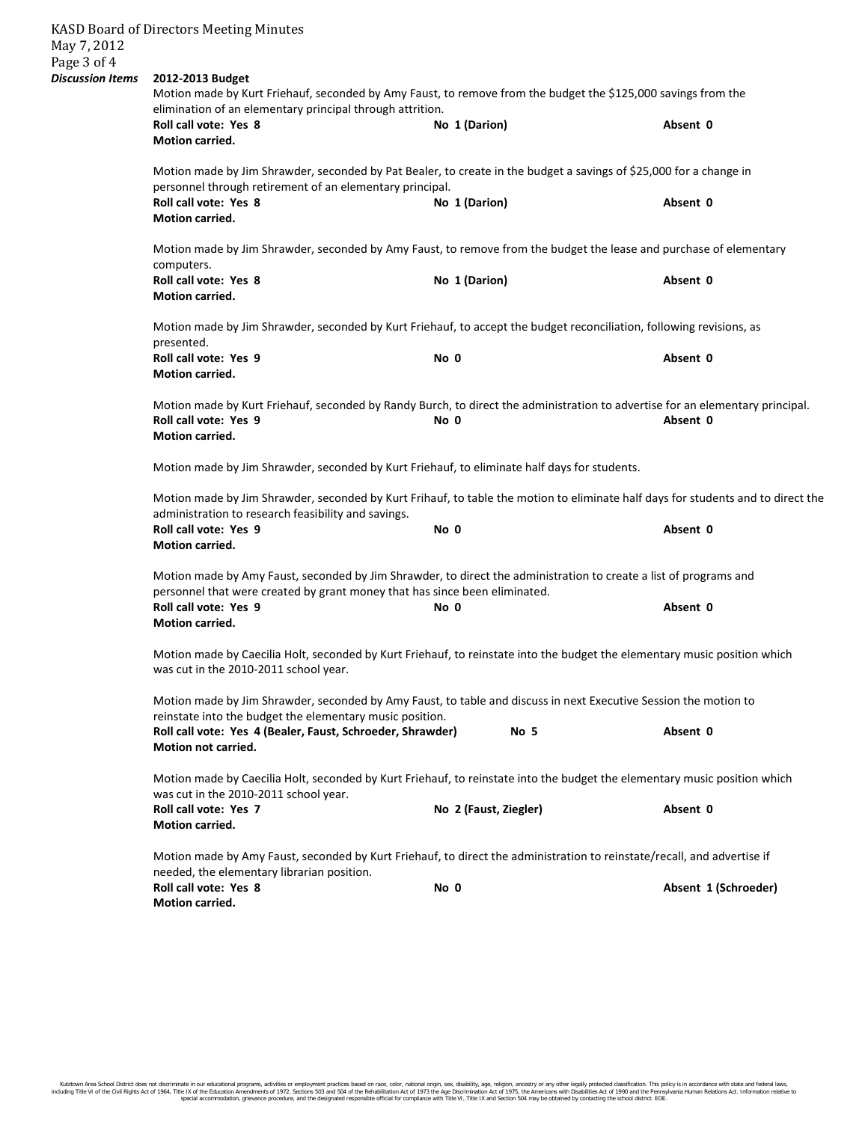| May 7, 2012                            | <b>KASD Board of Directors Meeting Minutes</b>                                                                                                                                                  |                       |                      |  |  |  |  |
|----------------------------------------|-------------------------------------------------------------------------------------------------------------------------------------------------------------------------------------------------|-----------------------|----------------------|--|--|--|--|
| Page 3 of 4<br><b>Discussion Items</b> | 2012-2013 Budget                                                                                                                                                                                |                       |                      |  |  |  |  |
|                                        | Motion made by Kurt Friehauf, seconded by Amy Faust, to remove from the budget the \$125,000 savings from the<br>elimination of an elementary principal through attrition.                      |                       |                      |  |  |  |  |
|                                        | Roll call vote: Yes 8<br><b>Motion carried.</b>                                                                                                                                                 | No 1 (Darion)         | Absent 0             |  |  |  |  |
|                                        | Motion made by Jim Shrawder, seconded by Pat Bealer, to create in the budget a savings of \$25,000 for a change in<br>personnel through retirement of an elementary principal.                  |                       |                      |  |  |  |  |
|                                        | Roll call vote: Yes 8<br><b>Motion carried.</b>                                                                                                                                                 | No 1 (Darion)         | Absent 0             |  |  |  |  |
|                                        | Motion made by Jim Shrawder, seconded by Amy Faust, to remove from the budget the lease and purchase of elementary<br>computers.                                                                |                       |                      |  |  |  |  |
|                                        | Roll call vote: Yes 8<br>Motion carried.                                                                                                                                                        | No 1 (Darion)         | Absent 0             |  |  |  |  |
|                                        | Motion made by Jim Shrawder, seconded by Kurt Friehauf, to accept the budget reconciliation, following revisions, as<br>presented.                                                              |                       |                      |  |  |  |  |
|                                        | Roll call vote: Yes 9<br><b>Motion carried.</b>                                                                                                                                                 | No 0                  | Absent 0             |  |  |  |  |
|                                        | Motion made by Kurt Friehauf, seconded by Randy Burch, to direct the administration to advertise for an elementary principal.<br>Roll call vote: Yes 9<br>No 0<br>Absent 0                      |                       |                      |  |  |  |  |
|                                        | <b>Motion carried.</b>                                                                                                                                                                          |                       |                      |  |  |  |  |
|                                        | Motion made by Jim Shrawder, seconded by Kurt Friehauf, to eliminate half days for students.                                                                                                    |                       |                      |  |  |  |  |
|                                        | Motion made by Jim Shrawder, seconded by Kurt Frihauf, to table the motion to eliminate half days for students and to direct the<br>administration to research feasibility and savings.         |                       |                      |  |  |  |  |
|                                        | Roll call vote: Yes 9<br>Motion carried.                                                                                                                                                        | No 0                  | Absent 0             |  |  |  |  |
|                                        | Motion made by Amy Faust, seconded by Jim Shrawder, to direct the administration to create a list of programs and<br>personnel that were created by grant money that has since been eliminated. |                       |                      |  |  |  |  |
|                                        | Roll call vote: Yes 9<br>Motion carried.                                                                                                                                                        | No 0                  | Absent 0             |  |  |  |  |
|                                        | Motion made by Caecilia Holt, seconded by Kurt Friehauf, to reinstate into the budget the elementary music position which<br>was cut in the 2010-2011 school year.                              |                       |                      |  |  |  |  |
|                                        | Motion made by Jim Shrawder, seconded by Amy Faust, to table and discuss in next Executive Session the motion to<br>reinstate into the budget the elementary music position.                    |                       |                      |  |  |  |  |
|                                        | Roll call vote: Yes 4 (Bealer, Faust, Schroeder, Shrawder)<br><b>Motion not carried.</b>                                                                                                        | No 5                  | Absent 0             |  |  |  |  |
|                                        | Motion made by Caecilia Holt, seconded by Kurt Friehauf, to reinstate into the budget the elementary music position which<br>was cut in the 2010-2011 school year.                              |                       |                      |  |  |  |  |
|                                        | Roll call vote: Yes 7<br>Motion carried.                                                                                                                                                        | No 2 (Faust, Ziegler) | Absent 0             |  |  |  |  |
|                                        | Motion made by Amy Faust, seconded by Kurt Friehauf, to direct the administration to reinstate/recall, and advertise if<br>needed, the elementary librarian position.                           |                       |                      |  |  |  |  |
|                                        | Roll call vote: Yes 8<br><b>Motion carried.</b>                                                                                                                                                 | No 0                  | Absent 1 (Schroeder) |  |  |  |  |
|                                        |                                                                                                                                                                                                 |                       |                      |  |  |  |  |